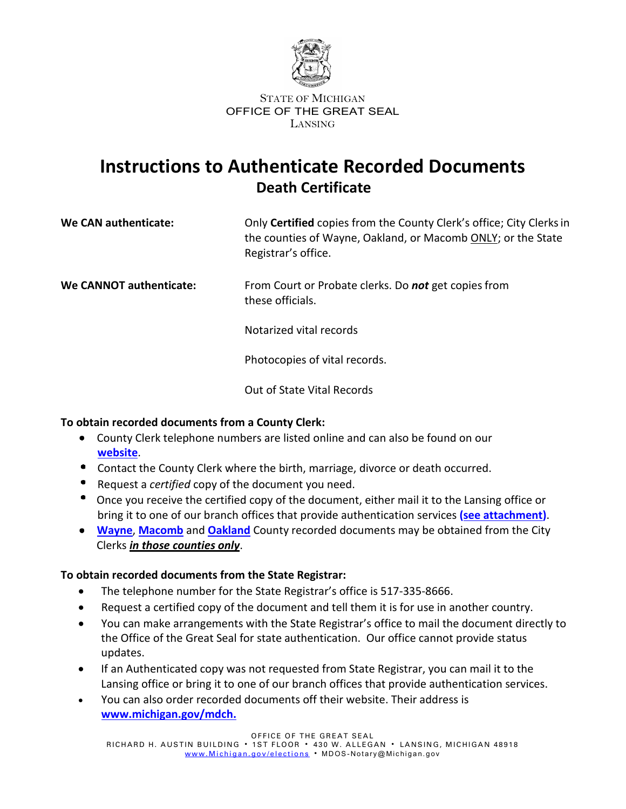

#### STATE OF MICHIGAN OFFICE OF THE GREAT SEAL LANSING

## **Instructions to Authenticate Recorded Documents Death Certificate**

| <b>We CAN authenticate:</b> | Only Certified copies from the County Clerk's office; City Clerks in |
|-----------------------------|----------------------------------------------------------------------|
|                             | the counties of Wayne, Oakland, or Macomb ONLY; or the State         |
|                             | Registrar's office.                                                  |

**We CANNOT authenticate:** From Court or Probate clerks. Do **not** get copies from these officials.

Notarized vital records

Photocopies of vital records.

Out of State Vital Records

### **To obtain recorded documents from a County Clerk:**

- County Clerk telephone numbers are listed online and can also be found on our **website**.
- Contact the County Clerk where the birth, marriage, divorce or death occurred.
- Request a *certified* copy of the document you need.
- $\bullet$ Once you receive the certified copy of the document, either mail it to the Lansing office or bring it to one of our branch offices that provide authentication services **(see [attachment\)](https://www.michigan.gov/sos/0,4670,7-127-5647_12539_108489-566724--,00.html)**.
- **[Wayne](https://www.waynecounty.com/elected/clerk/home.aspx)**, **[Macomb](https://clerk.macombgov.org/Clerk-Elections)** and **[Oakland](https://www.oakgov.com/clerkrod/elections/Pages/default.aspx)** County recorded documents may be obtained from the City Clerks *in those counties only*.

### **To obtain recorded documents from the State Registrar:**

- The telephone number for the State Registrar's office is 517-335-8666.
- Request a certified copy of the document and tell them it is for use in another country.
- You can make arrangements with the State Registrar's office to mail the document directly to the Office of the Great Seal for state authentication. Our office cannot provide status updates.
- If an Authenticated copy was not requested from State Registrar, you can mail it to the Lansing office or bring it to one of our branch offices that provide authentication services.
- You can also order recorded documents off their website. Their address is **[www.michigan.gov/mdch.](http://www.mdch.state.mi.us/)**

OFFICE OF THE GREAT SEAL